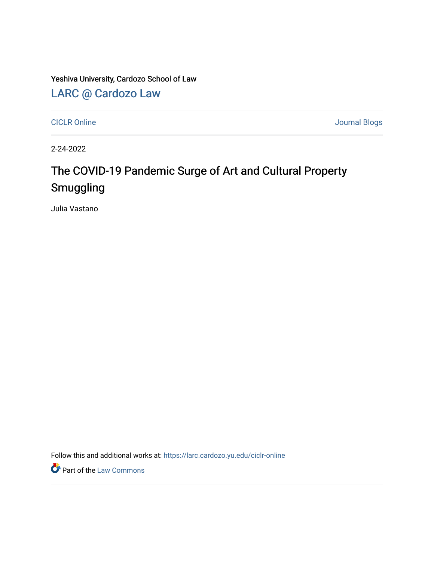Yeshiva University, Cardozo School of Law

### [LARC @ Cardozo Law](https://larc.cardozo.yu.edu/)

[CICLR Online](https://larc.cardozo.yu.edu/ciclr-online) Journal Blogs

2-24-2022

## The COVID-19 Pandemic Surge of Art and Cultural Property Smuggling

Julia Vastano

Follow this and additional works at: [https://larc.cardozo.yu.edu/ciclr-online](https://larc.cardozo.yu.edu/ciclr-online?utm_source=larc.cardozo.yu.edu%2Fciclr-online%2F38&utm_medium=PDF&utm_campaign=PDFCoverPages) 

**Part of the [Law Commons](http://network.bepress.com/hgg/discipline/578?utm_source=larc.cardozo.yu.edu%2Fciclr-online%2F38&utm_medium=PDF&utm_campaign=PDFCoverPages)**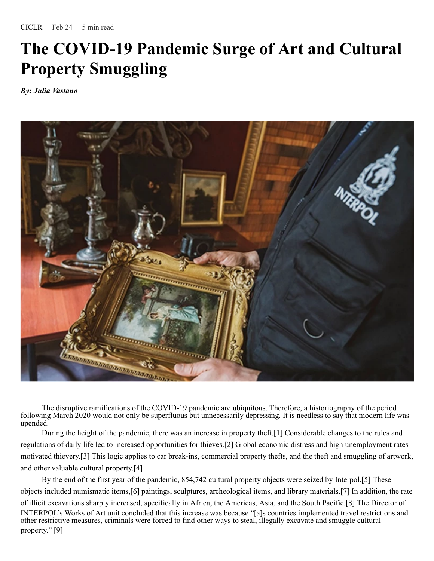# **The COVID-19 Pandemic Surge of Art and Cultural Property Smuggling**

*By: Julia Vastano*



The disruptive ramifications of the COVID-19 pandemic are ubiquitous. Therefore, a historiography of the period following March 2020 would not only be superfluous but unnecessarily depressing. It is needless to say that modern life was upended.

During the height of the pandemic, there was an increase in property theft.[1] Considerable changes to the rules and regulations of daily life led to increased opportunities for thieves.[2] Global economic distress and high unemployment rates motivated thievery.[3] This logic applies to car break-ins, commercial property thefts, and the theft and smuggling of artwork, and other valuable cultural property.[4]

By the end of the first year of the pandemic, 854,742 cultural property objects were seized by Interpol.[5] These objects included numismatic items,[6] paintings, sculptures, archeological items, and library materials.[7] In addition, the rate of illicit excavations sharply increased, specifically in Africa, the Americas, Asia, and the South Pacific.[8] The Director of INTERPOL's Works of Art unit concluded that this increase was because "[a]s countries implemented travel restrictions and other restrictive measures, criminals were forced to find other ways to steal, illegally excavate and smuggle cultural property." [9]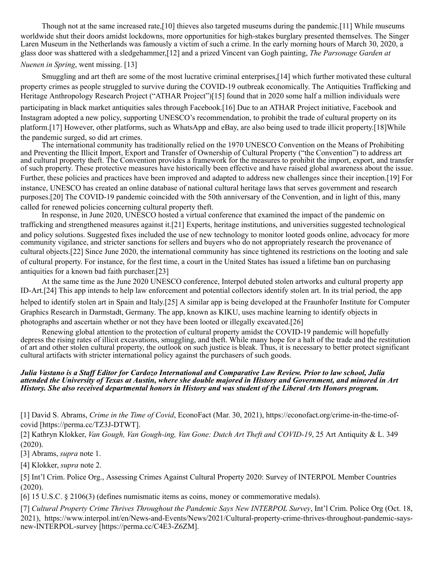Though not at the same increased rate,[10] thieves also targeted museums during the pandemic.[11] While museums worldwide shut their doors amidst lockdowns, more opportunities for high-stakes burglary presented themselves. The Singer Laren Museum in the Netherlands was famously a victim of such a crime. In the early morning hours of March 30, 2020, a glass door was shattered with a sledgehammer,[12] and a prized Vincent van Gogh painting, *The Parsonage Garden at*

### *Nuenen in Spring*, went missing. [13]

Smuggling and art theft are some of the most lucrative criminal enterprises,[14] which further motivated these cultural property crimes as people struggled to survive during the COVID-19 outbreak economically. The Antiquities Trafficking and Heritage Anthropology Research Project ("ATHAR Project")[15] found that in 2020 some half a million individuals were participating in black market antiquities sales through Facebook.[16] Due to an ATHAR Project initiative, Facebook and Instagram adopted a new policy, supporting UNESCO's recommendation, to prohibit the trade of cultural property on its platform.[17] However, other platforms, such as WhatsApp and eBay, are also being used to trade illicit property.[18]While the pandemic surged, so did art crimes.

The international community has traditionally relied on the 1970 UNESCO Convention on the Means of Prohibiting and Preventing the Illicit Import, Export and Transfer of Ownership of Cultural Property ("the Convention") to address art and cultural property theft. The Convention provides a framework for the measures to prohibit the import, export, and transfer of such property. These protective measures have historically been effective and have raised global awareness about the issue. Further, these policies and practices have been improved and adapted to address new challenges since their inception.[19] For instance, UNESCO has created an online database of national cultural heritage laws that serves government and research purposes.[20] The COVID-19 pandemic coincided with the 50th anniversary of the Convention, and in light of this, many called for renewed policies concerning cultural property theft.

In response, in June 2020, UNESCO hosted a virtual conference that examined the impact of the pandemic on trafficking and strengthened measures against it.[21] Experts, heritage institutions, and universities suggested technological and policy solutions. Suggested fixes included the use of new technology to monitor looted goods online, advocacy for more community vigilance, and stricter sanctions for sellers and buyers who do not appropriately research the provenance of cultural objects.[22] Since June 2020, the international community has since tightened its restrictions on the looting and sale of cultural property. For instance, for the first time, a court in the United States has issued a lifetime ban on purchasing antiquities for a known bad faith purchaser.[23]

At the same time as the June 2020 UNESCO conference, Interpol debuted stolen artworks and cultural property app ID-Art.[24] This app intends to help law enforcement and potential collectors identify stolen art. In its trial period, the app helped to identify stolen art in Spain and Italy.[25] A similar app is being developed at the Fraunhofer Institute for Computer Graphics Research in Darmstadt, Germany. The app, known as KIKU, uses machine learning to identify objects in photographs and ascertain whether or not they have been looted or illegally excavated.[26]

Renewing global attention to the protection of cultural property amidst the COVID-19 pandemic will hopefully depress the rising rates of illicit excavations, smuggling, and theft. While many hope for a halt of the trade and the restitution of art and other stolen cultural property, the outlook on such justice is bleak. Thus, it is necessary to better protect significant cultural artifacts with stricter international policy against the purchasers of such goods.

#### Julia Vastano is a Staff Editor for Cardozo International and Comparative Law Review. Prior to law school, Julia attended the University of Texas at Austin, where she double majored in History and Government, and minored in Art History. She also received departmental honors in History and was student of the Liberal Arts Honors program.

[1] David S. Abrams, *Crime in the Time of Covid*, EconoFact (Mar. 30, 2021), https://econofact.org/crime-in-the-time-ofcovid [https://perma.cc/TZ3J-DTWT].

[2] Kathryn Klokker, *Van Gough, Van Gough-ing, Van Gone: Dutch Art Theft and COVID-19*, 25 Art Antiquity & L. 349 (2020).

[3] Abrams, *supra* note 1.

[4] Klokker, *supra* note 2.

[5] Int'l Crim. Police Org., Assessing Crimes Against Cultural Property 2020: Survey of INTERPOL Member Countries (2020).

[6] 15 U.S.C. § 2106(3) (defines numismatic items as coins, money or commemorative medals).

[7] *Cultural Property Crime Thrives Throughout the Pandemic Says New INTERPOL Survey*, Int'l Crim. Police Org (Oct. 18, 2021), https://www.interpol.int/en/News-and-Events/News/2021/Cultural-property-crime-thrives-throughout-pandemic-saysnew-INTERPOL-survey [https://perma.cc/C4E3-Z6ZM].